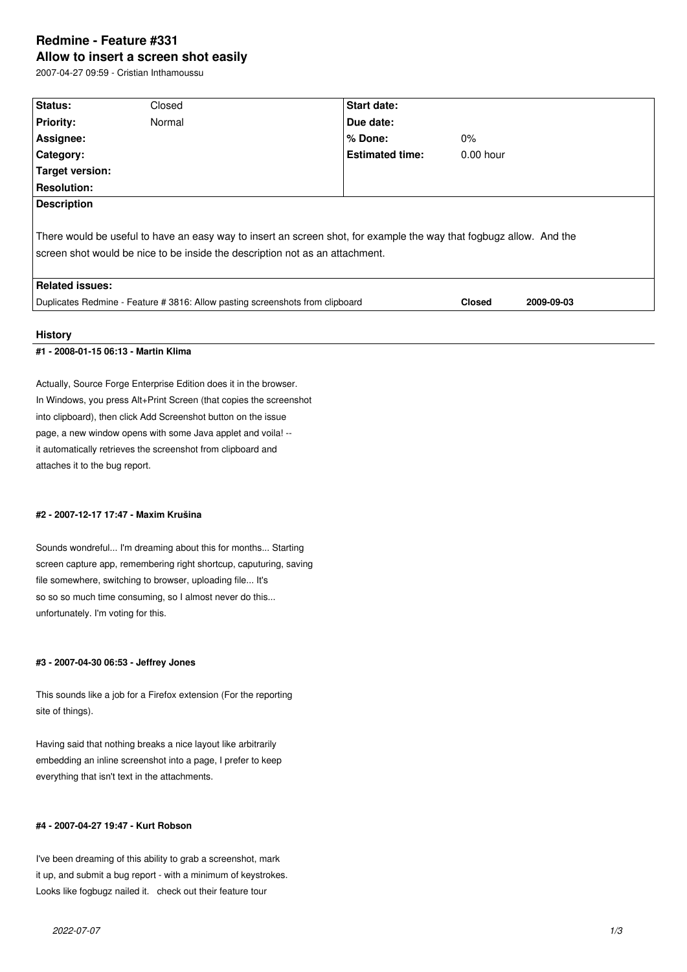# **Redmine - Feature #331 Allow to insert a screen shot easily**

2007-04-27 09:59 - Cristian Inthamoussu

| Status:                                                                                                                                                                                             | Closed | <b>Start date:</b>     |               |            |
|-----------------------------------------------------------------------------------------------------------------------------------------------------------------------------------------------------|--------|------------------------|---------------|------------|
| <b>Priority:</b>                                                                                                                                                                                    | Normal | Due date:              |               |            |
| Assignee:                                                                                                                                                                                           |        | $%$ Done:              | $0\%$         |            |
| <b>Category:</b>                                                                                                                                                                                    |        | <b>Estimated time:</b> | $0.00$ hour   |            |
| Target version:                                                                                                                                                                                     |        |                        |               |            |
| <b>Resolution:</b>                                                                                                                                                                                  |        |                        |               |            |
| <b>Description</b>                                                                                                                                                                                  |        |                        |               |            |
| There would be useful to have an easy way to insert an screen shot, for example the way that fogbugz allow. And the<br>screen shot would be nice to be inside the description not as an attachment. |        |                        |               |            |
| <b>Related issues:</b>                                                                                                                                                                              |        |                        |               |            |
| Duplicates Redmine - Feature # 3816: Allow pasting screenshots from clipboard                                                                                                                       |        |                        | <b>Closed</b> | 2009-09-03 |
|                                                                                                                                                                                                     |        |                        |               |            |

## **History**

## **#1 - 2008-01-15 06:13 - Martin Klima**

Actually, Source Forge Enterprise Edition does it in the browser. In Windows, you press Alt+Print Screen (that copies the screenshot into clipboard), then click Add Screenshot button on the issue page, a new window opens with some Java applet and voila! - it automatically retrieves the screenshot from clipboard and attaches it to the bug report.

#### **#2 - 2007-12-17 17:47 - Maxim Krušina**

Sounds wondreful... I'm dreaming about this for months... Starting screen capture app, remembering right shortcup, caputuring, saving file somewhere, switching to browser, uploading file... It's so so so much time consuming, so I almost never do this... unfortunately. I'm voting for this.

#### **#3 - 2007-04-30 06:53 - Jeffrey Jones**

This sounds like a job for a Firefox extension (For the reporting site of things).

Having said that nothing breaks a nice layout like arbitrarily embedding an inline screenshot into a page, I prefer to keep everything that isn't text in the attachments.

#### **#4 - 2007-04-27 19:47 - Kurt Robson**

I've been dreaming of this ability to grab a screenshot, mark it up, and submit a bug report - with a minimum of keystrokes. Looks like fogbugz nailed it. check out their feature tour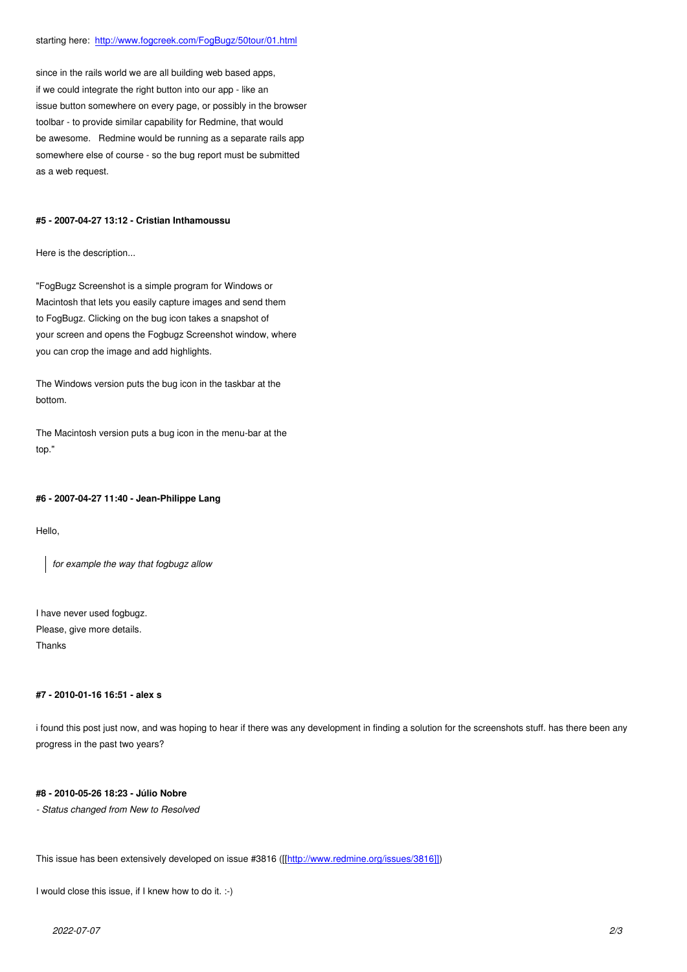since in the rails world we are all building web based apps, if we could integrate the right button into our app - like an issue button s[omewhere on every page, or possibly in the brows](http://www.fogcreek.com/FogBugz/50tour/01.html)er toolbar - to provide similar capability for Redmine, that would be awesome. Redmine would be running as a separate rails app somewhere else of course - so the bug report must be submitted as a web request.

#### **#5 - 2007-04-27 13:12 - Cristian Inthamoussu**

Here is the description...

"FogBugz Screenshot is a simple program for Windows or Macintosh that lets you easily capture images and send them to FogBugz. Clicking on the bug icon takes a snapshot of your screen and opens the Fogbugz Screenshot window, where you can crop the image and add highlights.

The Windows version puts the bug icon in the taskbar at the bottom.

The Macintosh version puts a bug icon in the menu-bar at the top."

#### **#6 - 2007-04-27 11:40 - Jean-Philippe Lang**

Hello,

*for example the way that fogbugz allow*

I have never used fogbugz. Please, give more details. **Thanks** 

#### **#7 - 2010-01-16 16:51 - alex s**

i found this post just now, and was hoping to hear if there was any development in finding a solution for the screenshots stuff. has there been any progress in the past two years?

#### **#8 - 2010-05-26 18:23 - Júlio Nobre**

*- Status changed from New to Resolved*

This issue has been extensively developed on issue #3816 ([[http://www.redmine.org/issues/3816]])

I would close this issue, if I knew how to do it. :-)